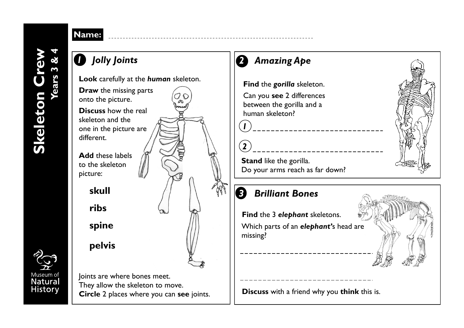**Skeleton Crew Years 3 & 4**

## Museum of **Natural History**

*1 Jolly Joints*

**Name:**

**Look** carefully at the *human* skeleton.

**Draw** the missing parts onto the picture. **Discuss** how the real skeleton and the one in the picture are different.

**Add** these labels to the skeleton picture:

> **skull ribs**

**spine**

**pelvis**

Joints are where bones meet. They allow the skeleton to move. **Circle** 2 places where you can **see** joints.

## *2 Amazing Ape*

**Find** the *gorilla* skeleton.

Can you **see** 2 differences between the gorilla and a human skeleton?

*1*

*2*

**Stand** like the gorilla. Do your arms reach as far down?

## *3 Brilliant Bones*

**Find** the 3 *elephant* skeletons. Which parts of an *elephant'*s head are missing?

**Discuss** with a friend why you **think** this is.